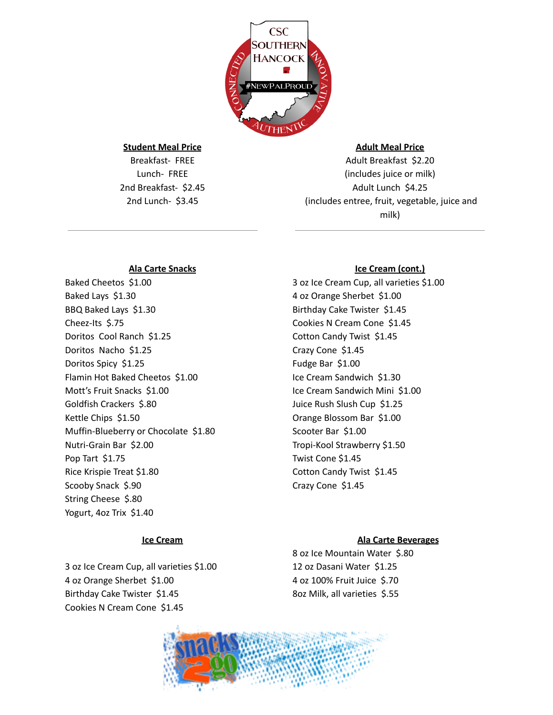

#### **Student Meal Price**

Breakfast- FREE Lunch- FREE 2nd Breakfast- \$2.45 2nd Lunch- \$3.45

# **Adult Meal Price**

Adult Breakfast \$2.20 (includes juice or milk) Adult Lunch \$4.25 (includes entree, fruit, vegetable, juice and milk)

#### **Ala Carte Snacks**

Baked Cheetos \$1.00 Baked Lays \$1.30 BBQ Baked Lays \$1.30 Cheez-Its \$.75 Doritos Cool Ranch \$1.25 Doritos Nacho \$1.25 Doritos Spicy \$1.25 Flamin Hot Baked Cheetos \$1.00 Mott's Fruit Snacks \$1.00 Goldfish Crackers \$.80 Kettle Chips \$1.50 Muffin-Blueberry or Chocolate \$1.80 Nutri-Grain Bar \$2.00 Pop Tart \$1.75 Rice Krispie Treat \$1.80 Scooby Snack \$.90 String Cheese \$.80 Yogurt, 4oz Trix \$1.40

#### **Ice Cream**

3 oz Ice Cream Cup, all varieties \$1.00 4 oz Orange Sherbet \$1.00 Birthday Cake Twister \$1.45 Cookies N Cream Cone \$1.45

# **Ice Cream (cont.)**

3 oz Ice Cream Cup, all varieties \$1.00 4 oz Orange Sherbet \$1.00 Birthday Cake Twister \$1.45 Cookies N Cream Cone \$1.45 Cotton Candy Twist \$1.45 Crazy Cone \$1.45 Fudge Bar \$1.00 Ice Cream Sandwich \$1.30 Ice Cream Sandwich Mini \$1.00 Juice Rush Slush Cup \$1.25 Orange Blossom Bar \$1.00 Scooter Bar \$1.00 Tropi-Kool Strawberry \$1.50 Twist Cone \$1.45 Cotton Candy Twist \$1.45 Crazy Cone \$1.45

# **Ala Carte Beverages**

 oz Ice Mountain Water \$.80 oz Dasani Water \$1.25 oz 100% Fruit Juice \$.70 8oz Milk, all varieties \$.55